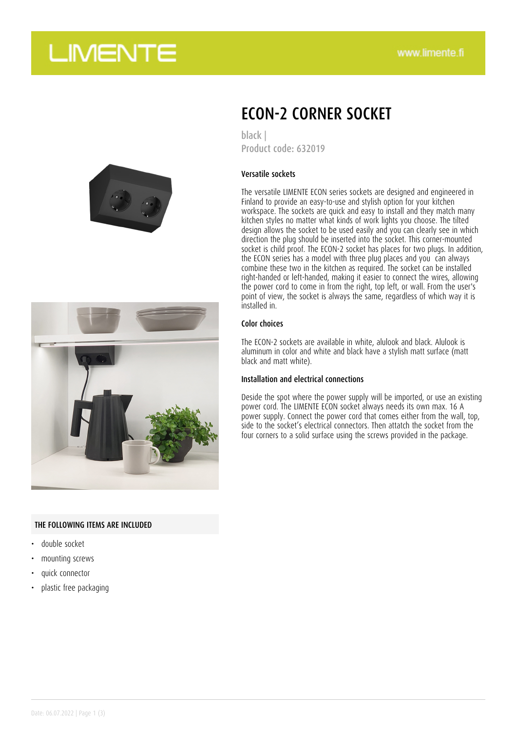## **LIMENTE**





### THE FOLLOWING ITEMS ARE INCLUDED

- double socket
- mounting screws
- quick connector
- plastic free packaging

### ECON-2 CORNER SOCKET

black | Product code: 632019

### Versatile sockets

The versatile LIMENTE ECON series sockets are designed and engineered in Finland to provide an easy-to-use and stylish option for your kitchen workspace. The sockets are quick and easy to install and they match many kitchen styles no matter what kinds of work lights you choose. The tilted design allows the socket to be used easily and you can clearly see in which direction the plug should be inserted into the socket. This corner-mounted socket is child proof. The ECON-2 socket has places for two plugs. In addition, the ECON series has a model with three plug places and you can always combine these two in the kitchen as required. The socket can be installed right-handed or left-handed, making it easier to connect the wires, allowing the power cord to come in from the right, top left, or wall. From the user's point of view, the socket is always the same, regardless of which way it is installed in.

#### Color choices

The ECON-2 sockets are available in white, alulook and black. Alulook is aluminum in color and white and black have a stylish matt surface (matt black and matt white).

### Installation and electrical connections

Deside the spot where the power supply will be imported, or use an existing power cord. The LIMENTE ECON socket always needs its own max. 16 A power supply. Connect the power cord that comes either from the wall, top, side to the socket's electrical connectors. Then attatch the socket from the four corners to a solid surface using the screws provided in the package.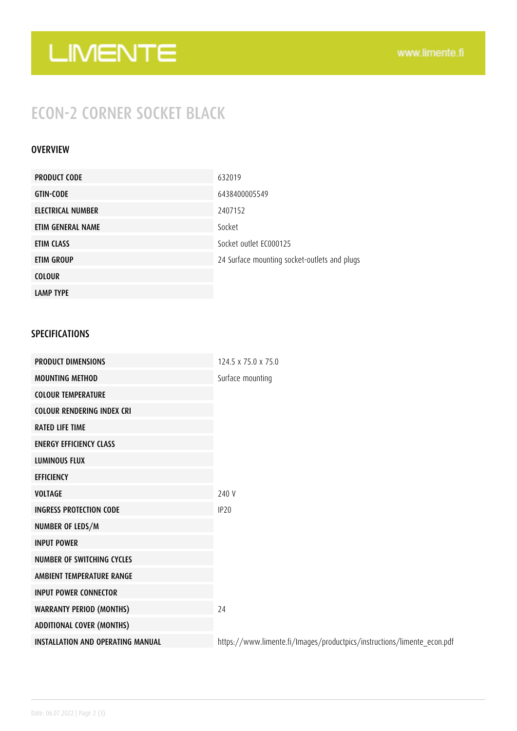# LIMENTE

## ECON-2 CORNER SOCKET BLACK

### **OVERVIEW**

| <b>PRODUCT CODE</b> | 632019                                       |
|---------------------|----------------------------------------------|
| <b>GTIN-CODE</b>    | 6438400005549                                |
| ELECTRICAL NUMBER   | 2407152                                      |
| ETIM GENERAL NAME   | Socket                                       |
| ETIM CLASS          | Socket outlet EC000125                       |
| ETIM GROUP          | 24 Surface mounting socket-outlets and plugs |
| <b>COLOUR</b>       |                                              |
| <b>LAMP TYPE</b>    |                                              |

### SPECIFICATIONS

| <b>PRODUCT DIMENSIONS</b>                | 124.5 x 75.0 x 75.0                                                     |
|------------------------------------------|-------------------------------------------------------------------------|
| <b>MOUNTING METHOD</b>                   | Surface mounting                                                        |
| <b>COLOUR TEMPERATURE</b>                |                                                                         |
| <b>COLOUR RENDERING INDEX CRI</b>        |                                                                         |
| <b>RATED LIFE TIME</b>                   |                                                                         |
| <b>ENERGY EFFICIENCY CLASS</b>           |                                                                         |
| <b>LUMINOUS FLUX</b>                     |                                                                         |
| <b>EFFICIENCY</b>                        |                                                                         |
| <b>VOLTAGE</b>                           | 240 V                                                                   |
| <b>INGRESS PROTECTION CODE</b>           | IP <sub>20</sub>                                                        |
| NUMBER OF LEDS/M                         |                                                                         |
| <b>INPUT POWER</b>                       |                                                                         |
| NUMBER OF SWITCHING CYCLES               |                                                                         |
| AMBIENT TEMPERATURE RANGE                |                                                                         |
| <b>INPUT POWER CONNECTOR</b>             |                                                                         |
| <b>WARRANTY PERIOD (MONTHS)</b>          | 24                                                                      |
| <b>ADDITIONAL COVER (MONTHS)</b>         |                                                                         |
| <b>INSTALLATION AND OPERATING MANUAL</b> | https://www.limente.fi/Images/productpics/instructions/limente_econ.pdf |